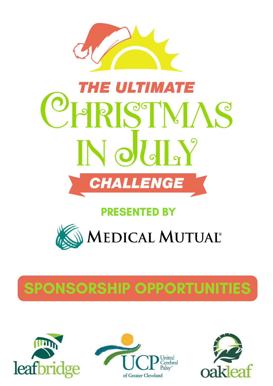

# *THE ULTIMATE* ISTMAS  $\blacktriangleright$  $N$  old  $N'$ CHALLENGE

### PRESENTED BY



## SPONSORSHIP OPPORTUNITIES





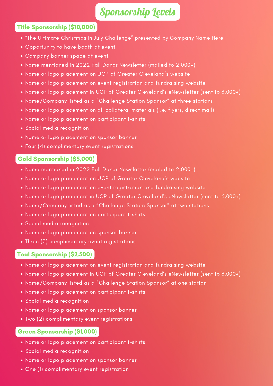### Sponsorship Levels Sponsorship Levels

#### Title Sponsorship (\$10,000)

- "The Ultimate Christmas in July Challenge" presented by Company Name Here
- Opportunity to have booth at event
- Company banner space at event
- Name mentioned in 2022 Fall Donor Newsletter (mailed to 2,000+)
- Name or logo placement on UCP of Greater Cleveland's website
- Name or logo placement on event registration and fundraising website
- Name or logo placement in UCP of Greater Cleveland's eNewsletter (sent to 6,000+)
- Name/Company listed as a "Challenge Station Sponsor" at three stations
- Name or logo placement on all collateral materials (i.e. flyers, direct mail)
- Name or logo placement on participant t-shirts
- Social media recognition
- Name or logo placement on sponsor banner
- Four (4) complimentary event registrations

#### Gold Sponsorship (\$5,000)

- Name mentioned in 2022 Fall Donor Newsletter (mailed to 2,000+)
- Name or logo placement on UCP of Greater Cleveland's website
- Name or logo placement on event registration and fundraising website
- Name or logo placement in UCP of Greater Cleveland's eNewsletter (sent to 6,000+)
- Name/Company listed as a "Challenge Station Sponsor" at two stations
- Name or logo placement on participant t-shirts
- Social media recognition
- Name or logo placement on sponsor banner
- Three (3) complimentary event registrations

#### Teal Sponsorship (\$2,500)

- Name or logo placement on event registration and fundraising website
- Name or logo placement in UCP of Greater Cleveland's eNewsletter (sent to 6,000+)
- Name/Company listed as a "Challenge Station Sponsor" at one station
- Name or logo placement on participant t-shirts
- Social media recognition
- Name or logo placement on sponsor banner
- Two (2) complimentary event registrations

#### Green Sponsorship (\$1,000)

- Name or logo placement on participant t-shirts
- Social media recognition
- Name or logo placement on sponsor banner
- One (1) complimentary event registration